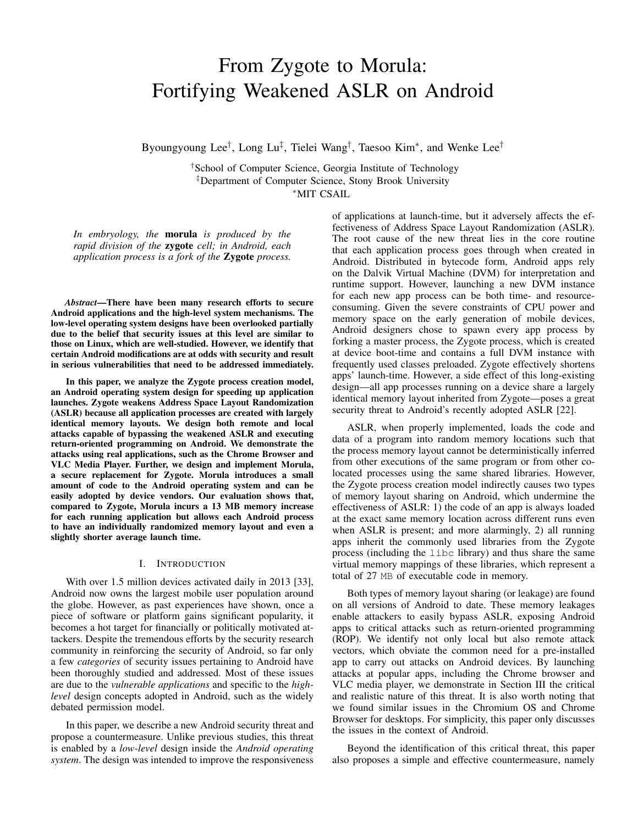# From Zygote to Morula: Fortifying Weakened ASLR on Android

Byoungyoung Lee<sup>†</sup>, Long Lu‡, Tielei Wang<sup>†</sup>, Taesoo Kim\*, and Wenke Lee<sup>†</sup>

†School of Computer Science, Georgia Institute of Technology ‡Department of Computer Science, Stony Brook University <sup>∗</sup>MIT CSAIL

*In embryology, the* morula *is produced by the rapid division of the* zygote *cell; in Android, each application process is a fork of the* Zygote *process.*

*Abstract*—There have been many research efforts to secure Android applications and the high-level system mechanisms. The low-level operating system designs have been overlooked partially due to the belief that security issues at this level are similar to those on Linux, which are well-studied. However, we identify that certain Android modifications are at odds with security and result in serious vulnerabilities that need to be addressed immediately.

In this paper, we analyze the Zygote process creation model, an Android operating system design for speeding up application launches. Zygote weakens Address Space Layout Randomization (ASLR) because all application processes are created with largely identical memory layouts. We design both remote and local attacks capable of bypassing the weakened ASLR and executing return-oriented programming on Android. We demonstrate the attacks using real applications, such as the Chrome Browser and VLC Media Player. Further, we design and implement Morula, a secure replacement for Zygote. Morula introduces a small amount of code to the Android operating system and can be easily adopted by device vendors. Our evaluation shows that, compared to Zygote, Morula incurs a 13 MB memory increase for each running application but allows each Android process to have an individually randomized memory layout and even a slightly shorter average launch time.

# I. INTRODUCTION

With over 1.5 million devices activated daily in 2013 [\[33\]](#page-15-0), Android now owns the largest mobile user population around the globe. However, as past experiences have shown, once a piece of software or platform gains significant popularity, it becomes a hot target for financially or politically motivated attackers. Despite the tremendous efforts by the security research community in reinforcing the security of Android, so far only a few *categories* of security issues pertaining to Android have been thoroughly studied and addressed. Most of these issues are due to the *vulnerable applications* and specific to the *highlevel* design concepts adopted in Android, such as the widely debated permission model.

In this paper, we describe a new Android security threat and propose a countermeasure. Unlike previous studies, this threat is enabled by a *low-level* design inside the *Android operating system*. The design was intended to improve the responsiveness of applications at launch-time, but it adversely affects the effectiveness of Address Space Layout Randomization (ASLR). The root cause of the new threat lies in the core routine that each application process goes through when created in Android. Distributed in bytecode form, Android apps rely on the Dalvik Virtual Machine (DVM) for interpretation and runtime support. However, launching a new DVM instance for each new app process can be both time- and resourceconsuming. Given the severe constraints of CPU power and memory space on the early generation of mobile devices, Android designers chose to spawn every app process by forking a master process, the Zygote process, which is created at device boot-time and contains a full DVM instance with frequently used classes preloaded. Zygote effectively shortens apps' launch-time. However, a side effect of this long-existing design—all app processes running on a device share a largely identical memory layout inherited from Zygote—poses a great security threat to Android's recently adopted ASLR [\[22\]](#page-14-0).

ASLR, when properly implemented, loads the code and data of a program into random memory locations such that the process memory layout cannot be deterministically inferred from other executions of the same program or from other colocated processes using the same shared libraries. However, the Zygote process creation model indirectly causes two types of memory layout sharing on Android, which undermine the effectiveness of ASLR: 1) the code of an app is always loaded at the exact same memory location across different runs even when ASLR is present; and more alarmingly, 2) all running apps inherit the commonly used libraries from the Zygote process (including the libc library) and thus share the same virtual memory mappings of these libraries, which represent a total of 27 MB of executable code in memory.

Both types of memory layout sharing (or leakage) are found on all versions of Android to date. These memory leakages enable attackers to easily bypass ASLR, exposing Android apps to critical attacks such as return-oriented programming (ROP). We identify not only local but also remote attack vectors, which obviate the common need for a pre-installed app to carry out attacks on Android devices. By launching attacks at popular apps, including the Chrome browser and VLC media player, we demonstrate in Section [III](#page-3-0) the critical and realistic nature of this threat. It is also worth noting that we found similar issues in the Chromium OS and Chrome Browser for desktops. For simplicity, this paper only discusses the issues in the context of Android.

Beyond the identification of this critical threat, this paper also proposes a simple and effective countermeasure, namely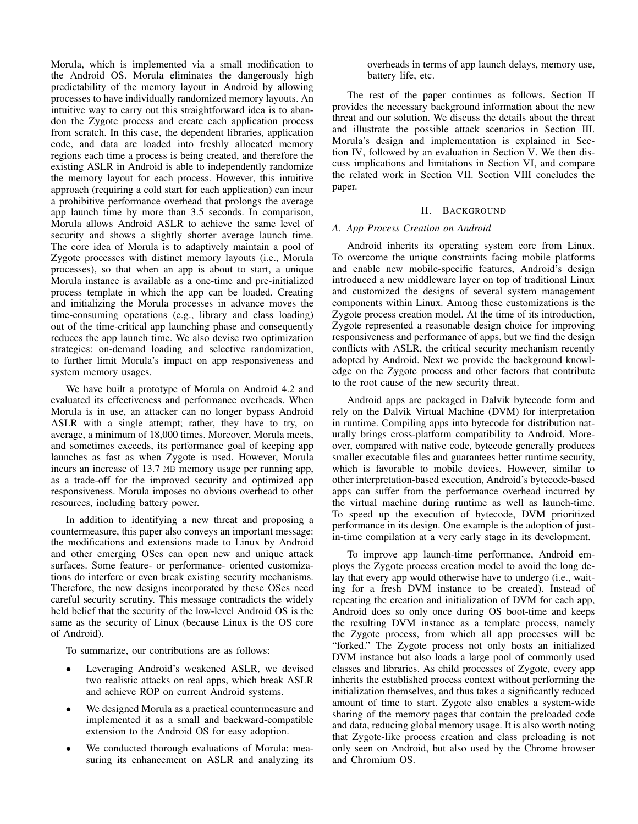Morula, which is implemented via a small modification to the Android OS. Morula eliminates the dangerously high predictability of the memory layout in Android by allowing processes to have individually randomized memory layouts. An intuitive way to carry out this straightforward idea is to abandon the Zygote process and create each application process from scratch. In this case, the dependent libraries, application code, and data are loaded into freshly allocated memory regions each time a process is being created, and therefore the existing ASLR in Android is able to independently randomize the memory layout for each process. However, this intuitive approach (requiring a cold start for each application) can incur a prohibitive performance overhead that prolongs the average app launch time by more than 3.5 seconds. In comparison, Morula allows Android ASLR to achieve the same level of security and shows a slightly shorter average launch time. The core idea of Morula is to adaptively maintain a pool of Zygote processes with distinct memory layouts (i.e., Morula processes), so that when an app is about to start, a unique Morula instance is available as a one-time and pre-initialized process template in which the app can be loaded. Creating and initializing the Morula processes in advance moves the time-consuming operations (e.g., library and class loading) out of the time-critical app launching phase and consequently reduces the app launch time. We also devise two optimization strategies: on-demand loading and selective randomization, to further limit Morula's impact on app responsiveness and system memory usages.

We have built a prototype of Morula on Android 4.2 and evaluated its effectiveness and performance overheads. When Morula is in use, an attacker can no longer bypass Android ASLR with a single attempt; rather, they have to try, on average, a minimum of 18,000 times. Moreover, Morula meets, and sometimes exceeds, its performance goal of keeping app launches as fast as when Zygote is used. However, Morula incurs an increase of 13.7 MB memory usage per running app, as a trade-off for the improved security and optimized app responsiveness. Morula imposes no obvious overhead to other resources, including battery power.

In addition to identifying a new threat and proposing a countermeasure, this paper also conveys an important message: the modifications and extensions made to Linux by Android and other emerging OSes can open new and unique attack surfaces. Some feature- or performance- oriented customizations do interfere or even break existing security mechanisms. Therefore, the new designs incorporated by these OSes need careful security scrutiny. This message contradicts the widely held belief that the security of the low-level Android OS is the same as the security of Linux (because Linux is the OS core of Android).

To summarize, our contributions are as follows:

- Leveraging Android's weakened ASLR, we devised two realistic attacks on real apps, which break ASLR and achieve ROP on current Android systems.
- We designed Morula as a practical countermeasure and implemented it as a small and backward-compatible extension to the Android OS for easy adoption.
- We conducted thorough evaluations of Morula: measuring its enhancement on ASLR and analyzing its

overheads in terms of app launch delays, memory use, battery life, etc.

The rest of the paper continues as follows. Section [II](#page-1-0) provides the necessary background information about the new threat and our solution. We discuss the details about the threat and illustrate the possible attack scenarios in Section [III.](#page-3-0) Morula's design and implementation is explained in Section [IV,](#page-6-0) followed by an evaluation in Section [V.](#page-9-0) We then discuss implications and limitations in Section [VI,](#page-13-0) and compare the related work in Section [VII.](#page-13-1) Section [VIII](#page-14-1) concludes the paper.

# II. BACKGROUND

# <span id="page-1-0"></span>*A. App Process Creation on Android*

Android inherits its operating system core from Linux. To overcome the unique constraints facing mobile platforms and enable new mobile-specific features, Android's design introduced a new middleware layer on top of traditional Linux and customized the designs of several system management components within Linux. Among these customizations is the Zygote process creation model. At the time of its introduction, Zygote represented a reasonable design choice for improving responsiveness and performance of apps, but we find the design conflicts with ASLR, the critical security mechanism recently adopted by Android. Next we provide the background knowledge on the Zygote process and other factors that contribute to the root cause of the new security threat.

Android apps are packaged in Dalvik bytecode form and rely on the Dalvik Virtual Machine (DVM) for interpretation in runtime. Compiling apps into bytecode for distribution naturally brings cross-platform compatibility to Android. Moreover, compared with native code, bytecode generally produces smaller executable files and guarantees better runtime security, which is favorable to mobile devices. However, similar to other interpretation-based execution, Android's bytecode-based apps can suffer from the performance overhead incurred by the virtual machine during runtime as well as launch-time. To speed up the execution of bytecode, DVM prioritized performance in its design. One example is the adoption of justin-time compilation at a very early stage in its development.

To improve app launch-time performance, Android employs the Zygote process creation model to avoid the long delay that every app would otherwise have to undergo (i.e., waiting for a fresh DVM instance to be created). Instead of repeating the creation and initialization of DVM for each app, Android does so only once during OS boot-time and keeps the resulting DVM instance as a template process, namely the Zygote process, from which all app processes will be "forked." The Zygote process not only hosts an initialized DVM instance but also loads a large pool of commonly used classes and libraries. As child processes of Zygote, every app inherits the established process context without performing the initialization themselves, and thus takes a significantly reduced amount of time to start. Zygote also enables a system-wide sharing of the memory pages that contain the preloaded code and data, reducing global memory usage. It is also worth noting that Zygote-like process creation and class preloading is not only seen on Android, but also used by the Chrome browser and Chromium OS.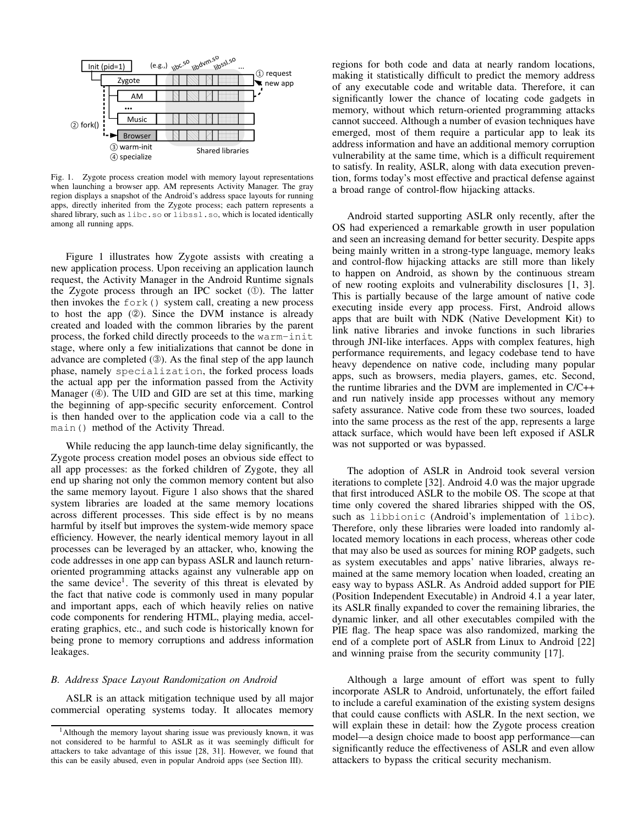

<span id="page-2-0"></span>Fig. 1. Zygote process creation model with memory layout representations when launching a browser app. AM represents Activity Manager. The gray region displays a snapshot of the Android's address space layouts for running apps, directly inherited from the Zygote process; each pattern represents a shared library, such as libc.so or libssl.so, which is located identically among all running apps.

Figure [1](#page-2-0) illustrates how Zygote assists with creating a new application process. Upon receiving an application launch request, the Activity Manager in the Android Runtime signals the Zygote process through an IPC socket  $(①)$ . The latter then invokes the fork() system call, creating a new process to host the app (2). Since the DVM instance is already created and loaded with the common libraries by the parent process, the forked child directly proceeds to the warm-init stage, where only a few initializations that cannot be done in advance are completed  $(③)$ . As the final step of the app launch phase, namely specialization, the forked process loads the actual app per the information passed from the Activity Manager (➃). The UID and GID are set at this time, marking the beginning of app-specific security enforcement. Control is then handed over to the application code via a call to the main() method of the Activity Thread.

While reducing the app launch-time delay significantly, the Zygote process creation model poses an obvious side effect to all app processes: as the forked children of Zygote, they all end up sharing not only the common memory content but also the same memory layout. Figure [1](#page-2-0) also shows that the shared system libraries are loaded at the same memory locations across different processes. This side effect is by no means harmful by itself but improves the system-wide memory space efficiency. However, the nearly identical memory layout in all processes can be leveraged by an attacker, who, knowing the code addresses in one app can bypass ASLR and launch returnoriented programming attacks against any vulnerable app on the same device<sup>[1](#page-2-1)</sup>. The severity of this threat is elevated by the fact that native code is commonly used in many popular and important apps, each of which heavily relies on native code components for rendering HTML, playing media, accelerating graphics, etc., and such code is historically known for being prone to memory corruptions and address information leakages.

# *B. Address Space Layout Randomization on Android*

ASLR is an attack mitigation technique used by all major commercial operating systems today. It allocates memory regions for both code and data at nearly random locations, making it statistically difficult to predict the memory address of any executable code and writable data. Therefore, it can significantly lower the chance of locating code gadgets in memory, without which return-oriented programming attacks cannot succeed. Although a number of evasion techniques have emerged, most of them require a particular app to leak its address information and have an additional memory corruption vulnerability at the same time, which is a difficult requirement to satisfy. In reality, ASLR, along with data execution prevention, forms today's most effective and practical defense against a broad range of control-flow hijacking attacks.

Android started supporting ASLR only recently, after the OS had experienced a remarkable growth in user population and seen an increasing demand for better security. Despite apps being mainly written in a strong-type language, memory leaks and control-flow hijacking attacks are still more than likely to happen on Android, as shown by the continuous stream of new rooting exploits and vulnerability disclosures [\[1,](#page-14-2) [3\]](#page-14-3). This is partially because of the large amount of native code executing inside every app process. First, Android allows apps that are built with NDK (Native Development Kit) to link native libraries and invoke functions in such libraries through JNI-like interfaces. Apps with complex features, high performance requirements, and legacy codebase tend to have heavy dependence on native code, including many popular apps, such as browsers, media players, games, etc. Second, the runtime libraries and the DVM are implemented in C/C++ and run natively inside app processes without any memory safety assurance. Native code from these two sources, loaded into the same process as the rest of the app, represents a large attack surface, which would have been left exposed if ASLR was not supported or was bypassed.

The adoption of ASLR in Android took several version iterations to complete [\[32\]](#page-15-3). Android 4.0 was the major upgrade that first introduced ASLR to the mobile OS. The scope at that time only covered the shared libraries shipped with the OS, such as libbionic (Android's implementation of libc). Therefore, only these libraries were loaded into randomly allocated memory locations in each process, whereas other code that may also be used as sources for mining ROP gadgets, such as system executables and apps' native libraries, always remained at the same memory location when loaded, creating an easy way to bypass ASLR. As Android added support for PIE (Position Independent Executable) in Android 4.1 a year later, its ASLR finally expanded to cover the remaining libraries, the dynamic linker, and all other executables compiled with the PIE flag. The heap space was also randomized, marking the end of a complete port of ASLR from Linux to Android [\[22\]](#page-14-0) and winning praise from the security community [\[17\]](#page-14-4).

Although a large amount of effort was spent to fully incorporate ASLR to Android, unfortunately, the effort failed to include a careful examination of the existing system designs that could cause conflicts with ASLR. In the next section, we will explain these in detail: how the Zygote process creation model—a design choice made to boost app performance—can significantly reduce the effectiveness of ASLR and even allow attackers to bypass the critical security mechanism.

<span id="page-2-1"></span><sup>1</sup>Although the memory layout sharing issue was previously known, it was not considered to be harmful to ASLR as it was seemingly difficult for attackers to take advantage of this issue [\[28,](#page-15-1) [31\]](#page-15-2). However, we found that this can be easily abused, even in popular Android apps (see Section [III\)](#page-3-0).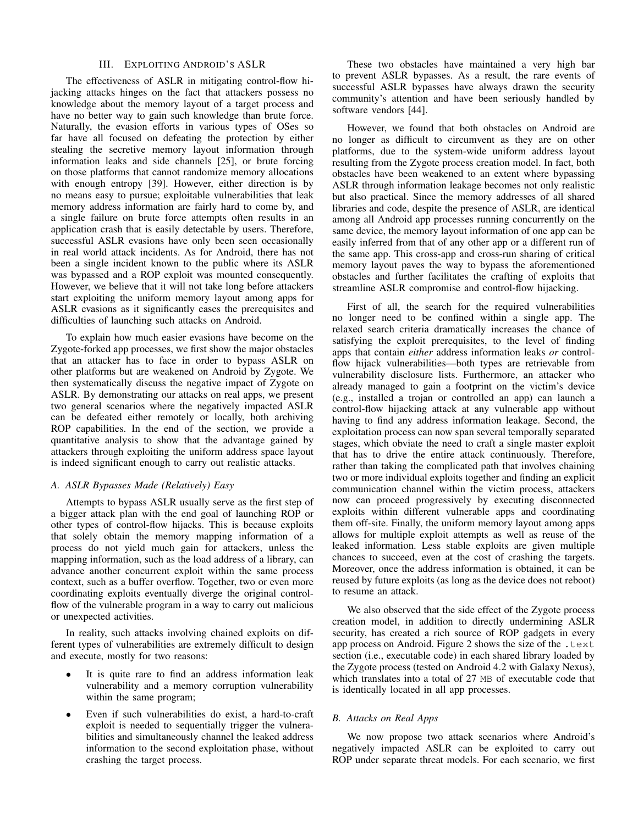# III. EXPLOITING ANDROID'S ASLR

<span id="page-3-0"></span>The effectiveness of ASLR in mitigating control-flow hijacking attacks hinges on the fact that attackers possess no knowledge about the memory layout of a target process and have no better way to gain such knowledge than brute force. Naturally, the evasion efforts in various types of OSes so far have all focused on defeating the protection by either stealing the secretive memory layout information through information leaks and side channels [\[25\]](#page-14-5), or brute forcing on those platforms that cannot randomize memory allocations with enough entropy [\[39\]](#page-15-4). However, either direction is by no means easy to pursue; exploitable vulnerabilities that leak memory address information are fairly hard to come by, and a single failure on brute force attempts often results in an application crash that is easily detectable by users. Therefore, successful ASLR evasions have only been seen occasionally in real world attack incidents. As for Android, there has not been a single incident known to the public where its ASLR was bypassed and a ROP exploit was mounted consequently. However, we believe that it will not take long before attackers start exploiting the uniform memory layout among apps for ASLR evasions as it significantly eases the prerequisites and difficulties of launching such attacks on Android.

To explain how much easier evasions have become on the Zygote-forked app processes, we first show the major obstacles that an attacker has to face in order to bypass ASLR on other platforms but are weakened on Android by Zygote. We then systematically discuss the negative impact of Zygote on ASLR. By demonstrating our attacks on real apps, we present two general scenarios where the negatively impacted ASLR can be defeated either remotely or locally, both archiving ROP capabilities. In the end of the section, we provide a quantitative analysis to show that the advantage gained by attackers through exploiting the uniform address space layout is indeed significant enough to carry out realistic attacks.

#### <span id="page-3-1"></span>*A. ASLR Bypasses Made (Relatively) Easy*

Attempts to bypass ASLR usually serve as the first step of a bigger attack plan with the end goal of launching ROP or other types of control-flow hijacks. This is because exploits that solely obtain the memory mapping information of a process do not yield much gain for attackers, unless the mapping information, such as the load address of a library, can advance another concurrent exploit within the same process context, such as a buffer overflow. Together, two or even more coordinating exploits eventually diverge the original controlflow of the vulnerable program in a way to carry out malicious or unexpected activities.

In reality, such attacks involving chained exploits on different types of vulnerabilities are extremely difficult to design and execute, mostly for two reasons:

- It is quite rare to find an address information leak vulnerability and a memory corruption vulnerability within the same program;
- Even if such vulnerabilities do exist, a hard-to-craft exploit is needed to sequentially trigger the vulnerabilities and simultaneously channel the leaked address information to the second exploitation phase, without crashing the target process.

These two obstacles have maintained a very high bar to prevent ASLR bypasses. As a result, the rare events of successful ASLR bypasses have always drawn the security community's attention and have been seriously handled by software vendors [\[44\]](#page-15-5).

However, we found that both obstacles on Android are no longer as difficult to circumvent as they are on other platforms, due to the system-wide uniform address layout resulting from the Zygote process creation model. In fact, both obstacles have been weakened to an extent where bypassing ASLR through information leakage becomes not only realistic but also practical. Since the memory addresses of all shared libraries and code, despite the presence of ASLR, are identical among all Android app processes running concurrently on the same device, the memory layout information of one app can be easily inferred from that of any other app or a different run of the same app. This cross-app and cross-run sharing of critical memory layout paves the way to bypass the aforementioned obstacles and further facilitates the crafting of exploits that streamline ASLR compromise and control-flow hijacking.

First of all, the search for the required vulnerabilities no longer need to be confined within a single app. The relaxed search criteria dramatically increases the chance of satisfying the exploit prerequisites, to the level of finding apps that contain *either* address information leaks *or* controlflow hijack vulnerabilities—both types are retrievable from vulnerability disclosure lists. Furthermore, an attacker who already managed to gain a footprint on the victim's device (e.g., installed a trojan or controlled an app) can launch a control-flow hijacking attack at any vulnerable app without having to find any address information leakage. Second, the exploitation process can now span several temporally separated stages, which obviate the need to craft a single master exploit that has to drive the entire attack continuously. Therefore, rather than taking the complicated path that involves chaining two or more individual exploits together and finding an explicit communication channel within the victim process, attackers now can proceed progressively by executing disconnected exploits within different vulnerable apps and coordinating them off-site. Finally, the uniform memory layout among apps allows for multiple exploit attempts as well as reuse of the leaked information. Less stable exploits are given multiple chances to succeed, even at the cost of crashing the targets. Moreover, once the address information is obtained, it can be reused by future exploits (as long as the device does not reboot) to resume an attack.

We also observed that the side effect of the Zygote process creation model, in addition to directly undermining ASLR security, has created a rich source of ROP gadgets in every app process on Android. Figure [2](#page-4-0) shows the size of the .text section (i.e., executable code) in each shared library loaded by the Zygote process (tested on Android 4.2 with Galaxy Nexus), which translates into a total of 27 MB of executable code that is identically located in all app processes.

### *B. Attacks on Real Apps*

We now propose two attack scenarios where Android's negatively impacted ASLR can be exploited to carry out ROP under separate threat models. For each scenario, we first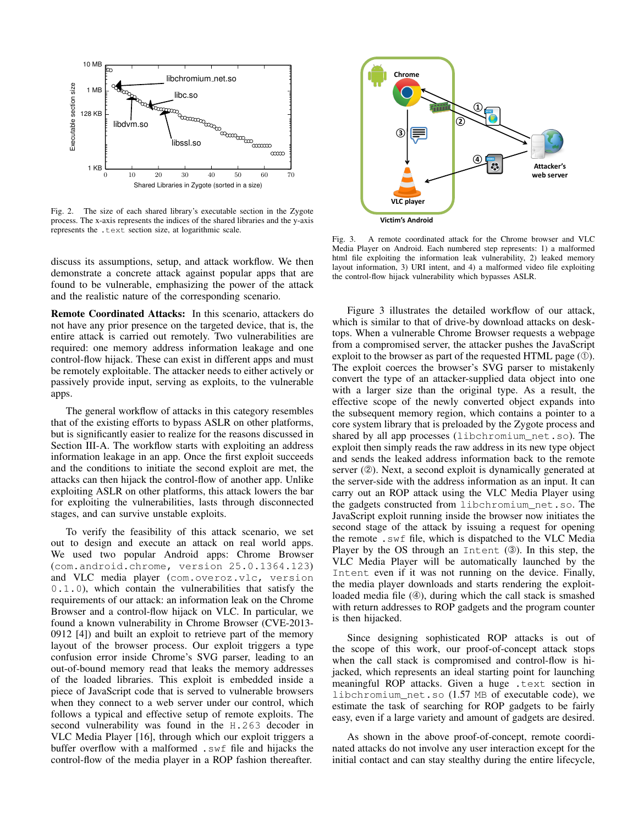

<span id="page-4-0"></span>Fig. 2. The size of each shared library's executable section in the Zygote process. The x-axis represents the indices of the shared libraries and the y-axis represents the .text section size, at logarithmic scale.

discuss its assumptions, setup, and attack workflow. We then demonstrate a concrete attack against popular apps that are found to be vulnerable, emphasizing the power of the attack and the realistic nature of the corresponding scenario.

Remote Coordinated Attacks: In this scenario, attackers do not have any prior presence on the targeted device, that is, the entire attack is carried out remotely. Two vulnerabilities are required: one memory address information leakage and one control-flow hijack. These can exist in different apps and must be remotely exploitable. The attacker needs to either actively or passively provide input, serving as exploits, to the vulnerable apps.

The general workflow of attacks in this category resembles that of the existing efforts to bypass ASLR on other platforms, but is significantly easier to realize for the reasons discussed in Section [III-A.](#page-3-1) The workflow starts with exploiting an address information leakage in an app. Once the first exploit succeeds and the conditions to initiate the second exploit are met, the attacks can then hijack the control-flow of another app. Unlike exploiting ASLR on other platforms, this attack lowers the bar for exploiting the vulnerabilities, lasts through disconnected stages, and can survive unstable exploits.

To verify the feasibility of this attack scenario, we set out to design and execute an attack on real world apps. We used two popular Android apps: Chrome Browser (com.android.chrome, version 25.0.1364.123) and VLC media player (com.overoz.vlc, version 0.1.0), which contain the vulnerabilities that satisfy the requirements of our attack: an information leak on the Chrome Browser and a control-flow hijack on VLC. In particular, we found a known vulnerability in Chrome Browser (CVE-2013- 0912 [\[4\]](#page-14-6)) and built an exploit to retrieve part of the memory layout of the browser process. Our exploit triggers a type confusion error inside Chrome's SVG parser, leading to an out-of-bound memory read that leaks the memory addresses of the loaded libraries. This exploit is embedded inside a piece of JavaScript code that is served to vulnerable browsers when they connect to a web server under our control, which follows a typical and effective setup of remote exploits. The second vulnerability was found in the H.263 decoder in VLC Media Player [\[16\]](#page-14-7), through which our exploit triggers a buffer overflow with a malformed .swf file and hijacks the control-flow of the media player in a ROP fashion thereafter.



<span id="page-4-1"></span>Fig. 3. A remote coordinated attack for the Chrome browser and VLC Media Player on Android. Each numbered step represents: 1) a malformed html file exploiting the information leak vulnerability, 2) leaked memory layout information, 3) URI intent, and 4) a malformed video file exploiting the control-flow hijack vulnerability which bypasses ASLR.

Figure [3](#page-4-1) illustrates the detailed workflow of our attack, which is similar to that of drive-by download attacks on desktops. When a vulnerable Chrome Browser requests a webpage from a compromised server, the attacker pushes the JavaScript exploit to the browser as part of the requested HTML page  $(\mathbb{O})$ . The exploit coerces the browser's SVG parser to mistakenly convert the type of an attacker-supplied data object into one with a larger size than the original type. As a result, the effective scope of the newly converted object expands into the subsequent memory region, which contains a pointer to a core system library that is preloaded by the Zygote process and shared by all app processes (libchromium net.so). The exploit then simply reads the raw address in its new type object and sends the leaked address information back to the remote server (②). Next, a second exploit is dynamically generated at the server-side with the address information as an input. It can carry out an ROP attack using the VLC Media Player using the gadgets constructed from libchromium\_net.so. The JavaScript exploit running inside the browser now initiates the second stage of the attack by issuing a request for opening the remote .swf file, which is dispatched to the VLC Media Player by the OS through an Intent (3). In this step, the VLC Media Player will be automatically launched by the Intent even if it was not running on the device. Finally, the media player downloads and starts rendering the exploitloaded media file (4), during which the call stack is smashed with return addresses to ROP gadgets and the program counter is then hijacked.

Since designing sophisticated ROP attacks is out of the scope of this work, our proof-of-concept attack stops when the call stack is compromised and control-flow is hijacked, which represents an ideal starting point for launching meaningful ROP attacks. Given a huge .text section in libchromium\_net.so (1.57 MB of executable code), we estimate the task of searching for ROP gadgets to be fairly easy, even if a large variety and amount of gadgets are desired.

As shown in the above proof-of-concept, remote coordinated attacks do not involve any user interaction except for the initial contact and can stay stealthy during the entire lifecycle,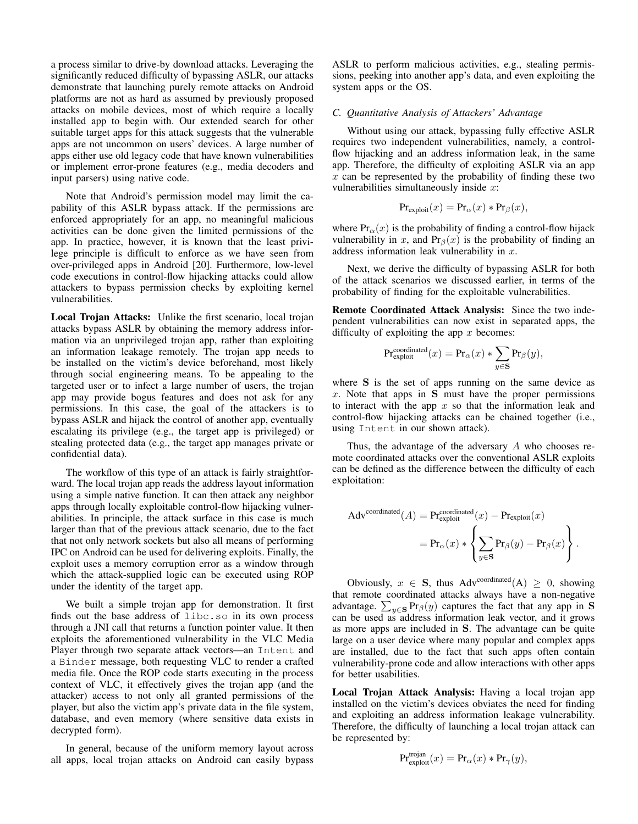a process similar to drive-by download attacks. Leveraging the significantly reduced difficulty of bypassing ASLR, our attacks demonstrate that launching purely remote attacks on Android platforms are not as hard as assumed by previously proposed attacks on mobile devices, most of which require a locally installed app to begin with. Our extended search for other suitable target apps for this attack suggests that the vulnerable apps are not uncommon on users' devices. A large number of apps either use old legacy code that have known vulnerabilities or implement error-prone features (e.g., media decoders and input parsers) using native code.

Note that Android's permission model may limit the capability of this ASLR bypass attack. If the permissions are enforced appropriately for an app, no meaningful malicious activities can be done given the limited permissions of the app. In practice, however, it is known that the least privilege principle is difficult to enforce as we have seen from over-privileged apps in Android [\[20\]](#page-14-8). Furthermore, low-level code executions in control-flow hijacking attacks could allow attackers to bypass permission checks by exploiting kernel vulnerabilities.

Local Trojan Attacks: Unlike the first scenario, local trojan attacks bypass ASLR by obtaining the memory address information via an unprivileged trojan app, rather than exploiting an information leakage remotely. The trojan app needs to be installed on the victim's device beforehand, most likely through social engineering means. To be appealing to the targeted user or to infect a large number of users, the trojan app may provide bogus features and does not ask for any permissions. In this case, the goal of the attackers is to bypass ASLR and hijack the control of another app, eventually escalating its privilege (e.g., the target app is privileged) or stealing protected data (e.g., the target app manages private or confidential data).

The workflow of this type of an attack is fairly straightforward. The local trojan app reads the address layout information using a simple native function. It can then attack any neighbor apps through locally exploitable control-flow hijacking vulnerabilities. In principle, the attack surface in this case is much larger than that of the previous attack scenario, due to the fact that not only network sockets but also all means of performing IPC on Android can be used for delivering exploits. Finally, the exploit uses a memory corruption error as a window through which the attack-supplied logic can be executed using ROP under the identity of the target app.

We built a simple trojan app for demonstration. It first finds out the base address of libc.so in its own process through a JNI call that returns a function pointer value. It then exploits the aforementioned vulnerability in the VLC Media Player through two separate attack vectors—an Intent and a Binder message, both requesting VLC to render a crafted media file. Once the ROP code starts executing in the process context of VLC, it effectively gives the trojan app (and the attacker) access to not only all granted permissions of the player, but also the victim app's private data in the file system, database, and even memory (where sensitive data exists in decrypted form).

In general, because of the uniform memory layout across all apps, local trojan attacks on Android can easily bypass

ASLR to perform malicious activities, e.g., stealing permissions, peeking into another app's data, and even exploiting the system apps or the OS.

# *C. Quantitative Analysis of Attackers' Advantage*

Without using our attack, bypassing fully effective ASLR requires two independent vulnerabilities, namely, a controlflow hijacking and an address information leak, in the same app. Therefore, the difficulty of exploiting ASLR via an app  $x$  can be represented by the probability of finding these two vulnerabilities simultaneously inside x:

$$
Pr_{\text{exploit}}(x) = Pr_{\alpha}(x) * Pr_{\beta}(x),
$$

where  $Pr_{\alpha}(x)$  is the probability of finding a control-flow hijack vulnerability in x, and  $Pr<sub>\beta</sub>(x)$  is the probability of finding an address information leak vulnerability in  $x$ .

Next, we derive the difficulty of bypassing ASLR for both of the attack scenarios we discussed earlier, in terms of the probability of finding for the exploitable vulnerabilities.

Remote Coordinated Attack Analysis: Since the two independent vulnerabilities can now exist in separated apps, the difficulty of exploiting the app  $x$  becomes:

$$
\mathrm{Pr}^{\mathrm{coordinated}}_{\mathrm{exploit}}(x) = \mathrm{Pr}_{\alpha}(x) * \sum_{y \in \mathbf{S}} \mathrm{Pr}_{\beta}(y),
$$

where S is the set of apps running on the same device as  $x$ . Note that apps in S must have the proper permissions to interact with the app  $x$  so that the information leak and control-flow hijacking attacks can be chained together (i.e., using Intent in our shown attack).

Thus, the advantage of the adversary  $A$  who chooses remote coordinated attacks over the conventional ASLR exploits can be defined as the difference between the difficulty of each exploitation:

$$
Adv^{coordinated}(A) = Pr_{exploit}^{coordinated}(x) - Pr_{exploit}(x)
$$

$$
= Pr_{\alpha}(x) * \left\{ \sum_{y \in S} Pr_{\beta}(y) - Pr_{\beta}(x) \right\}.
$$

Obviously,  $x \in S$ , thus Adv<sup>coordinated</sup>(A)  $\geq 0$ , showing that remote coordinated attacks always have a non-negative advantage.  $\sum_{y \in \mathbf{S}} \text{Pr}_{\beta}(y)$  captures the fact that any app in S can be used as address information leak vector, and it grows as more apps are included in S. The advantage can be quite large on a user device where many popular and complex apps are installed, due to the fact that such apps often contain vulnerability-prone code and allow interactions with other apps for better usabilities.

Local Trojan Attack Analysis: Having a local trojan app installed on the victim's devices obviates the need for finding and exploiting an address information leakage vulnerability. Therefore, the difficulty of launching a local trojan attack can be represented by:

$$
\mathrm{Pr}_{\mathrm{exploit}}^{\mathrm{trojan}}(x) = \mathrm{Pr}_{\alpha}(x) * \mathrm{Pr}_{\gamma}(y),
$$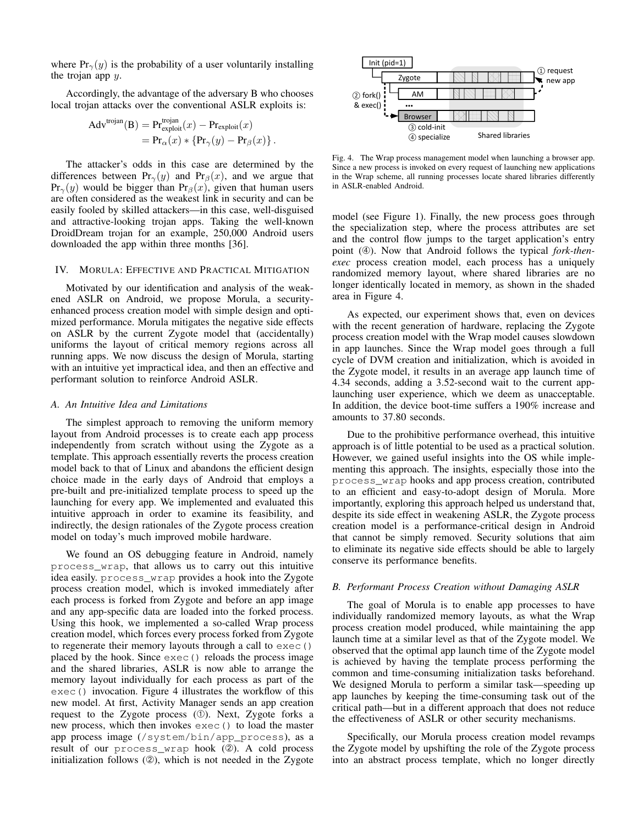where  $Pr_{\gamma}(y)$  is the probability of a user voluntarily installing the trojan app  $y$ .

Accordingly, the advantage of the adversary B who chooses local trojan attacks over the conventional ASLR exploits is:

$$
Advtrojan(B) = Prtrojanexploit(x) - Prexploit(x)
$$
  
= Pr<sub>α</sub>(x) \* {Pr<sub>γ</sub>(y) - Pr<sub>β</sub>(x)}.

The attacker's odds in this case are determined by the differences between  $Pr_{\gamma}(y)$  and  $Pr_{\beta}(x)$ , and we argue that  $Pr_{\gamma}(y)$  would be bigger than  $Pr_{\beta}(x)$ , given that human users are often considered as the weakest link in security and can be easily fooled by skilled attackers—in this case, well-disguised and attractive-looking trojan apps. Taking the well-known DroidDream trojan for an example, 250,000 Android users downloaded the app within three months [\[36\]](#page-15-6).

# <span id="page-6-0"></span>IV. MORULA: EFFECTIVE AND PRACTICAL MITIGATION

Motivated by our identification and analysis of the weakened ASLR on Android, we propose Morula, a securityenhanced process creation model with simple design and optimized performance. Morula mitigates the negative side effects on ASLR by the current Zygote model that (accidentally) uniforms the layout of critical memory regions across all running apps. We now discuss the design of Morula, starting with an intuitive yet impractical idea, and then an effective and performant solution to reinforce Android ASLR.

## *A. An Intuitive Idea and Limitations*

The simplest approach to removing the uniform memory layout from Android processes is to create each app process independently from scratch without using the Zygote as a template. This approach essentially reverts the process creation model back to that of Linux and abandons the efficient design choice made in the early days of Android that employs a pre-built and pre-initialized template process to speed up the launching for every app. We implemented and evaluated this intuitive approach in order to examine its feasibility, and indirectly, the design rationales of the Zygote process creation model on today's much improved mobile hardware.

We found an OS debugging feature in Android, namely process\_wrap, that allows us to carry out this intuitive idea easily. process\_wrap provides a hook into the Zygote process creation model, which is invoked immediately after each process is forked from Zygote and before an app image and any app-specific data are loaded into the forked process. Using this hook, we implemented a so-called Wrap process creation model, which forces every process forked from Zygote to regenerate their memory layouts through a call to exec() placed by the hook. Since exec() reloads the process image and the shared libraries, ASLR is now able to arrange the memory layout individually for each process as part of the exec() invocation. Figure [4](#page-6-1) illustrates the workflow of this new model. At first, Activity Manager sends an app creation request to the Zygote process (➀). Next, Zygote forks a new process, which then invokes exec() to load the master app process image (/system/bin/app\_process), as a result of our process\_wrap hook (➁). A cold process initialization follows (➁), which is not needed in the Zygote



<span id="page-6-1"></span>Fig. 4. The Wrap process management model when launching a browser app. Since a new process is invoked on every request of launching new applications in the Wrap scheme, all running processes locate shared libraries differently in ASLR-enabled Android.

model (see Figure [1\)](#page-2-0). Finally, the new process goes through the specialization step, where the process attributes are set and the control flow jumps to the target application's entry point (➃). Now that Android follows the typical *fork-thenexec* process creation model, each process has a uniquely randomized memory layout, where shared libraries are no longer identically located in memory, as shown in the shaded area in Figure [4.](#page-6-1)

As expected, our experiment shows that, even on devices with the recent generation of hardware, replacing the Zygote process creation model with the Wrap model causes slowdown in app launches. Since the Wrap model goes through a full cycle of DVM creation and initialization, which is avoided in the Zygote model, it results in an average app launch time of 4.34 seconds, adding a 3.52-second wait to the current applaunching user experience, which we deem as unacceptable. In addition, the device boot-time suffers a 190% increase and amounts to 37.80 seconds.

Due to the prohibitive performance overhead, this intuitive approach is of little potential to be used as a practical solution. However, we gained useful insights into the OS while implementing this approach. The insights, especially those into the process\_wrap hooks and app process creation, contributed to an efficient and easy-to-adopt design of Morula. More importantly, exploring this approach helped us understand that, despite its side effect in weakening ASLR, the Zygote process creation model is a performance-critical design in Android that cannot be simply removed. Security solutions that aim to eliminate its negative side effects should be able to largely conserve its performance benefits.

#### *B. Performant Process Creation without Damaging ASLR*

The goal of Morula is to enable app processes to have individually randomized memory layouts, as what the Wrap process creation model produced, while maintaining the app launch time at a similar level as that of the Zygote model. We observed that the optimal app launch time of the Zygote model is achieved by having the template process performing the common and time-consuming initialization tasks beforehand. We designed Morula to perform a similar task—speeding up app launches by keeping the time-consuming task out of the critical path—but in a different approach that does not reduce the effectiveness of ASLR or other security mechanisms.

Specifically, our Morula process creation model revamps the Zygote model by upshifting the role of the Zygote process into an abstract process template, which no longer directly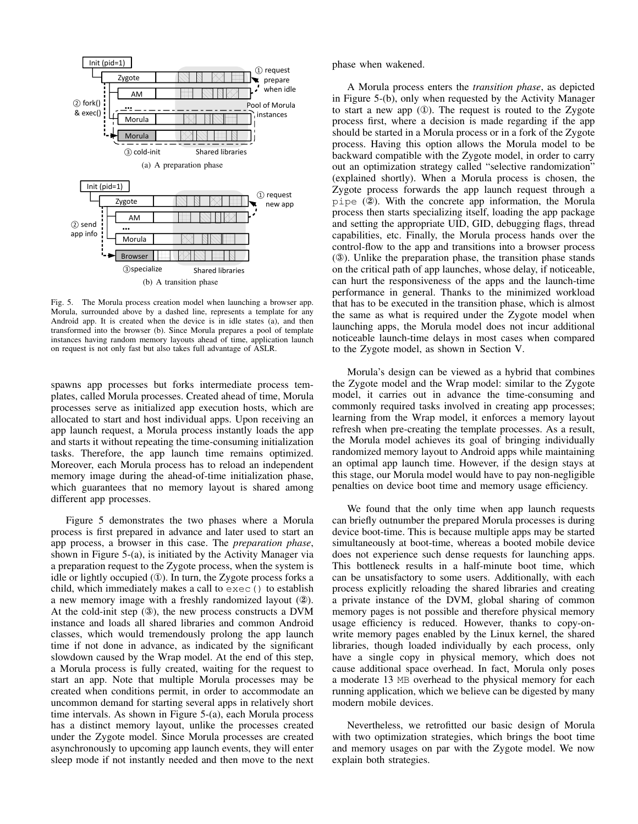

<span id="page-7-0"></span>Fig. 5. The Morula process creation model when launching a browser app. Morula, surrounded above by a dashed line, represents a template for any Android app. It is created when the device is in idle states (a), and then transformed into the browser (b). Since Morula prepares a pool of template instances having random memory layouts ahead of time, application launch on request is not only fast but also takes full advantage of ASLR.

spawns app processes but forks intermediate process templates, called Morula processes. Created ahead of time, Morula processes serve as initialized app execution hosts, which are allocated to start and host individual apps. Upon receiving an app launch request, a Morula process instantly loads the app and starts it without repeating the time-consuming initialization tasks. Therefore, the app launch time remains optimized. Moreover, each Morula process has to reload an independent memory image during the ahead-of-time initialization phase, which guarantees that no memory layout is shared among different app processes.

Figure [5](#page-7-0) demonstrates the two phases where a Morula process is first prepared in advance and later used to start an app process, a browser in this case. The *preparation phase*, shown in Figure [5-](#page-7-0)(a), is initiated by the Activity Manager via a preparation request to the Zygote process, when the system is idle or lightly occupied (①). In turn, the Zygote process forks a child, which immediately makes a call to exec() to establish a new memory image with a freshly randomized layout (②). At the cold-init step (③), the new process constructs a DVM instance and loads all shared libraries and common Android classes, which would tremendously prolong the app launch time if not done in advance, as indicated by the significant slowdown caused by the Wrap model. At the end of this step, a Morula process is fully created, waiting for the request to start an app. Note that multiple Morula processes may be created when conditions permit, in order to accommodate an uncommon demand for starting several apps in relatively short time intervals. As shown in Figure [5-](#page-7-0)(a), each Morula process has a distinct memory layout, unlike the processes created under the Zygote model. Since Morula processes are created asynchronously to upcoming app launch events, they will enter sleep mode if not instantly needed and then move to the next phase when wakened.

A Morula process enters the *transition phase*, as depicted in Figure [5-](#page-7-0)(b), only when requested by the Activity Manager to start a new app (①). The request is routed to the Zygote process first, where a decision is made regarding if the app should be started in a Morula process or in a fork of the Zygote process. Having this option allows the Morula model to be backward compatible with the Zygote model, in order to carry out an optimization strategy called "selective randomization" (explained shortly). When a Morula process is chosen, the Zygote process forwards the app launch request through a pipe (②). With the concrete app information, the Morula process then starts specializing itself, loading the app package and setting the appropriate UID, GID, debugging flags, thread capabilities, etc. Finally, the Morula process hands over the control-flow to the app and transitions into a browser process (③). Unlike the preparation phase, the transition phase stands on the critical path of app launches, whose delay, if noticeable, can hurt the responsiveness of the apps and the launch-time performance in general. Thanks to the minimized workload that has to be executed in the transition phase, which is almost the same as what is required under the Zygote model when launching apps, the Morula model does not incur additional noticeable launch-time delays in most cases when compared to the Zygote model, as shown in Section [V.](#page-9-0)

Morula's design can be viewed as a hybrid that combines the Zygote model and the Wrap model: similar to the Zygote model, it carries out in advance the time-consuming and commonly required tasks involved in creating app processes; learning from the Wrap model, it enforces a memory layout refresh when pre-creating the template processes. As a result, the Morula model achieves its goal of bringing individually randomized memory layout to Android apps while maintaining an optimal app launch time. However, if the design stays at this stage, our Morula model would have to pay non-negligible penalties on device boot time and memory usage efficiency.

We found that the only time when app launch requests can briefly outnumber the prepared Morula processes is during device boot-time. This is because multiple apps may be started simultaneously at boot-time, whereas a booted mobile device does not experience such dense requests for launching apps. This bottleneck results in a half-minute boot time, which can be unsatisfactory to some users. Additionally, with each process explicitly reloading the shared libraries and creating a private instance of the DVM, global sharing of common memory pages is not possible and therefore physical memory usage efficiency is reduced. However, thanks to copy-onwrite memory pages enabled by the Linux kernel, the shared libraries, though loaded individually by each process, only have a single copy in physical memory, which does not cause additional space overhead. In fact, Morula only poses a moderate 13 MB overhead to the physical memory for each running application, which we believe can be digested by many modern mobile devices.

Nevertheless, we retrofitted our basic design of Morula with two optimization strategies, which brings the boot time and memory usages on par with the Zygote model. We now explain both strategies.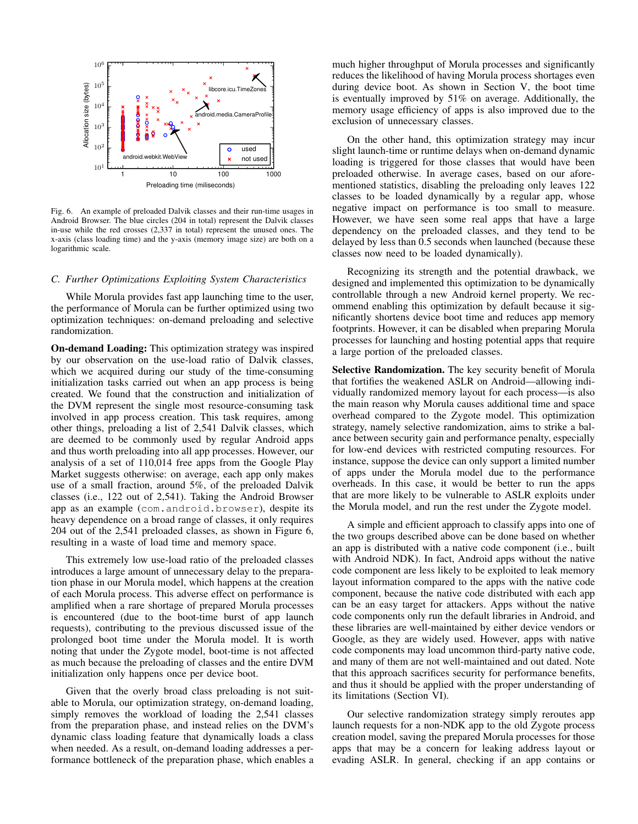

<span id="page-8-0"></span>Fig. 6. An example of preloaded Dalvik classes and their run-time usages in Android Browser. The blue circles (204 in total) represent the Dalvik classes in-use while the red crosses (2,337 in total) represent the unused ones. The x-axis (class loading time) and the y-axis (memory image size) are both on a logarithmic scale.

# *C. Further Optimizations Exploiting System Characteristics*

While Morula provides fast app launching time to the user, the performance of Morula can be further optimized using two optimization techniques: on-demand preloading and selective randomization.

On-demand Loading: This optimization strategy was inspired by our observation on the use-load ratio of Dalvik classes, which we acquired during our study of the time-consuming initialization tasks carried out when an app process is being created. We found that the construction and initialization of the DVM represent the single most resource-consuming task involved in app process creation. This task requires, among other things, preloading a list of 2,541 Dalvik classes, which are deemed to be commonly used by regular Android apps and thus worth preloading into all app processes. However, our analysis of a set of 110,014 free apps from the Google Play Market suggests otherwise: on average, each app only makes use of a small fraction, around 5%, of the preloaded Dalvik classes (i.e., 122 out of 2,541). Taking the Android Browser app as an example (com.android.browser), despite its heavy dependence on a broad range of classes, it only requires 204 out of the 2,541 preloaded classes, as shown in Figure [6,](#page-8-0) resulting in a waste of load time and memory space.

This extremely low use-load ratio of the preloaded classes introduces a large amount of unnecessary delay to the preparation phase in our Morula model, which happens at the creation of each Morula process. This adverse effect on performance is amplified when a rare shortage of prepared Morula processes is encountered (due to the boot-time burst of app launch requests), contributing to the previous discussed issue of the prolonged boot time under the Morula model. It is worth noting that under the Zygote model, boot-time is not affected as much because the preloading of classes and the entire DVM initialization only happens once per device boot.

Given that the overly broad class preloading is not suitable to Morula, our optimization strategy, on-demand loading, simply removes the workload of loading the 2,541 classes from the preparation phase, and instead relies on the DVM's dynamic class loading feature that dynamically loads a class when needed. As a result, on-demand loading addresses a performance bottleneck of the preparation phase, which enables a much higher throughput of Morula processes and significantly reduces the likelihood of having Morula process shortages even during device boot. As shown in Section [V,](#page-9-0) the boot time is eventually improved by 51% on average. Additionally, the memory usage efficiency of apps is also improved due to the exclusion of unnecessary classes.

On the other hand, this optimization strategy may incur slight launch-time or runtime delays when on-demand dynamic loading is triggered for those classes that would have been preloaded otherwise. In average cases, based on our aforementioned statistics, disabling the preloading only leaves 122 classes to be loaded dynamically by a regular app, whose negative impact on performance is too small to measure. However, we have seen some real apps that have a large dependency on the preloaded classes, and they tend to be delayed by less than 0.5 seconds when launched (because these classes now need to be loaded dynamically).

Recognizing its strength and the potential drawback, we designed and implemented this optimization to be dynamically controllable through a new Android kernel property. We recommend enabling this optimization by default because it significantly shortens device boot time and reduces app memory footprints. However, it can be disabled when preparing Morula processes for launching and hosting potential apps that require a large portion of the preloaded classes.

Selective Randomization. The key security benefit of Morula that fortifies the weakened ASLR on Android—allowing individually randomized memory layout for each process—is also the main reason why Morula causes additional time and space overhead compared to the Zygote model. This optimization strategy, namely selective randomization, aims to strike a balance between security gain and performance penalty, especially for low-end devices with restricted computing resources. For instance, suppose the device can only support a limited number of apps under the Morula model due to the performance overheads. In this case, it would be better to run the apps that are more likely to be vulnerable to ASLR exploits under the Morula model, and run the rest under the Zygote model.

A simple and efficient approach to classify apps into one of the two groups described above can be done based on whether an app is distributed with a native code component (i.e., built with Android NDK). In fact, Android apps without the native code component are less likely to be exploited to leak memory layout information compared to the apps with the native code component, because the native code distributed with each app can be an easy target for attackers. Apps without the native code components only run the default libraries in Android, and these libraries are well-maintained by either device vendors or Google, as they are widely used. However, apps with native code components may load uncommon third-party native code, and many of them are not well-maintained and out dated. Note that this approach sacrifices security for performance benefits, and thus it should be applied with the proper understanding of its limitations (Section [VI\)](#page-13-0).

Our selective randomization strategy simply reroutes app launch requests for a non-NDK app to the old Zygote process creation model, saving the prepared Morula processes for those apps that may be a concern for leaking address layout or evading ASLR. In general, checking if an app contains or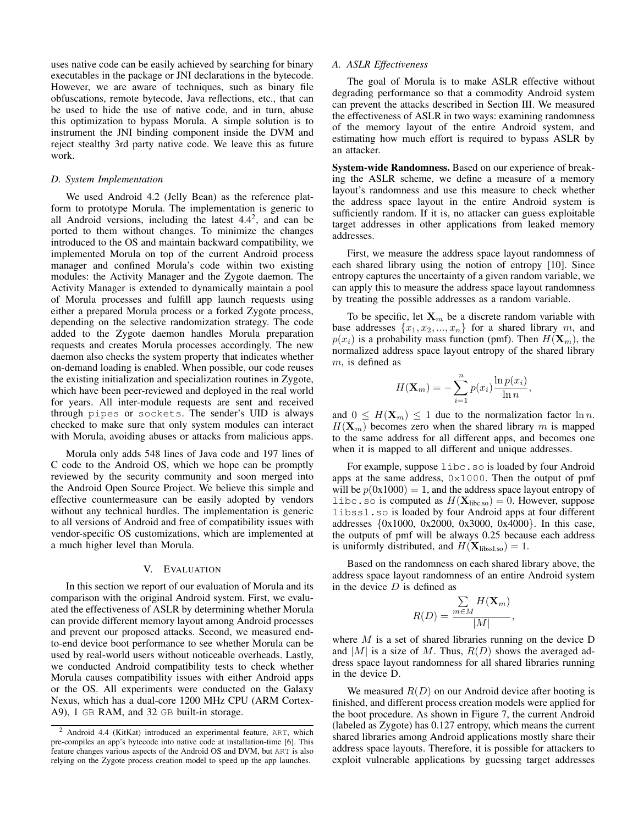uses native code can be easily achieved by searching for binary executables in the package or JNI declarations in the bytecode. However, we are aware of techniques, such as binary file obfuscations, remote bytecode, Java reflections, etc., that can be used to hide the use of native code, and in turn, abuse this optimization to bypass Morula. A simple solution is to instrument the JNI binding component inside the DVM and reject stealthy 3rd party native code. We leave this as future work.

#### *D. System Implementation*

We used Android 4.2 (Jelly Bean) as the reference platform to prototype Morula. The implementation is generic to all Android versions, including the latest  $4.4^2$  $4.4^2$ , and can be ported to them without changes. To minimize the changes introduced to the OS and maintain backward compatibility, we implemented Morula on top of the current Android process manager and confined Morula's code within two existing modules: the Activity Manager and the Zygote daemon. The Activity Manager is extended to dynamically maintain a pool of Morula processes and fulfill app launch requests using either a prepared Morula process or a forked Zygote process, depending on the selective randomization strategy. The code added to the Zygote daemon handles Morula preparation requests and creates Morula processes accordingly. The new daemon also checks the system property that indicates whether on-demand loading is enabled. When possible, our code reuses the existing initialization and specialization routines in Zygote, which have been peer-reviewed and deployed in the real world for years. All inter-module requests are sent and received through pipes or sockets. The sender's UID is always checked to make sure that only system modules can interact with Morula, avoiding abuses or attacks from malicious apps.

Morula only adds 548 lines of Java code and 197 lines of C code to the Android OS, which we hope can be promptly reviewed by the security community and soon merged into the Android Open Source Project. We believe this simple and effective countermeasure can be easily adopted by vendors without any technical hurdles. The implementation is generic to all versions of Android and free of compatibility issues with vendor-specific OS customizations, which are implemented at a much higher level than Morula.

#### V. EVALUATION

<span id="page-9-0"></span>In this section we report of our evaluation of Morula and its comparison with the original Android system. First, we evaluated the effectiveness of ASLR by determining whether Morula can provide different memory layout among Android processes and prevent our proposed attacks. Second, we measured endto-end device boot performance to see whether Morula can be used by real-world users without noticeable overheads. Lastly, we conducted Android compatibility tests to check whether Morula causes compatibility issues with either Android apps or the OS. All experiments were conducted on the Galaxy Nexus, which has a dual-core 1200 MHz CPU (ARM Cortex-A9), 1 GB RAM, and 32 GB built-in storage.

# *A. ASLR Effectiveness*

The goal of Morula is to make ASLR effective without degrading performance so that a commodity Android system can prevent the attacks described in Section [III.](#page-3-0) We measured the effectiveness of ASLR in two ways: examining randomness of the memory layout of the entire Android system, and estimating how much effort is required to bypass ASLR by an attacker.

System-wide Randomness. Based on our experience of breaking the ASLR scheme, we define a measure of a memory layout's randomness and use this measure to check whether the address space layout in the entire Android system is sufficiently random. If it is, no attacker can guess exploitable target addresses in other applications from leaked memory addresses.

First, we measure the address space layout randomness of each shared library using the notion of entropy [\[10\]](#page-14-10). Since entropy captures the uncertainty of a given random variable, we can apply this to measure the address space layout randomness by treating the possible addresses as a random variable.

To be specific, let  $X_m$  be a discrete random variable with base addresses  $\{x_1, x_2, ..., x_n\}$  for a shared library m, and  $p(x_i)$  is a probability mass function (pmf). Then  $H(\mathbf{X}_m)$ , the normalized address space layout entropy of the shared library m, is defined as

$$
H(\mathbf{X}_m) = -\sum_{i=1}^n p(x_i) \frac{\ln p(x_i)}{\ln n},
$$

and  $0 \leq H(\mathbf{X}_m) \leq 1$  due to the normalization factor  $\ln n$ .  $H(\mathbf{X}_m)$  becomes zero when the shared library m is mapped to the same address for all different apps, and becomes one when it is mapped to all different and unique addresses.

For example, suppose libc.so is loaded by four Android apps at the same address, 0x1000. Then the output of pmf will be  $p(0x1000) = 1$ , and the address space layout entropy of libc.so is computed as  $H(\mathbf{X}_{\text{libc.so}}) = 0$ . However, suppose libssl.so is loaded by four Android apps at four different addresses {0x1000, 0x2000, 0x3000, 0x4000}. In this case, the outputs of pmf will be always 0.25 because each address is uniformly distributed, and  $H(\mathbf{X}_{\text{libssl.}}) = 1$ .

Based on the randomness on each shared library above, the address space layout randomness of an entire Android system in the device  $D$  is defined as

$$
R(D) = \frac{\sum_{m \in M} H(\mathbf{X}_m)}{|M|},
$$

where  $M$  is a set of shared libraries running on the device  $D$ and  $|M|$  is a size of M. Thus,  $R(D)$  shows the averaged address space layout randomness for all shared libraries running in the device D.

We measured  $R(D)$  on our Android device after booting is finished, and different process creation models were applied for the boot procedure. As shown in Figure [7,](#page-10-0) the current Android (labeled as Zygote) has 0.127 entropy, which means the current shared libraries among Android applications mostly share their address space layouts. Therefore, it is possible for attackers to exploit vulnerable applications by guessing target addresses

<span id="page-9-1"></span><sup>2</sup> Android 4.4 (KitKat) introduced an experimental feature, ART, which pre-compiles an app's bytecode into native code at installation-time [\[6\]](#page-14-9). This feature changes various aspects of the Android OS and DVM, but ART is also relying on the Zygote process creation model to speed up the app launches.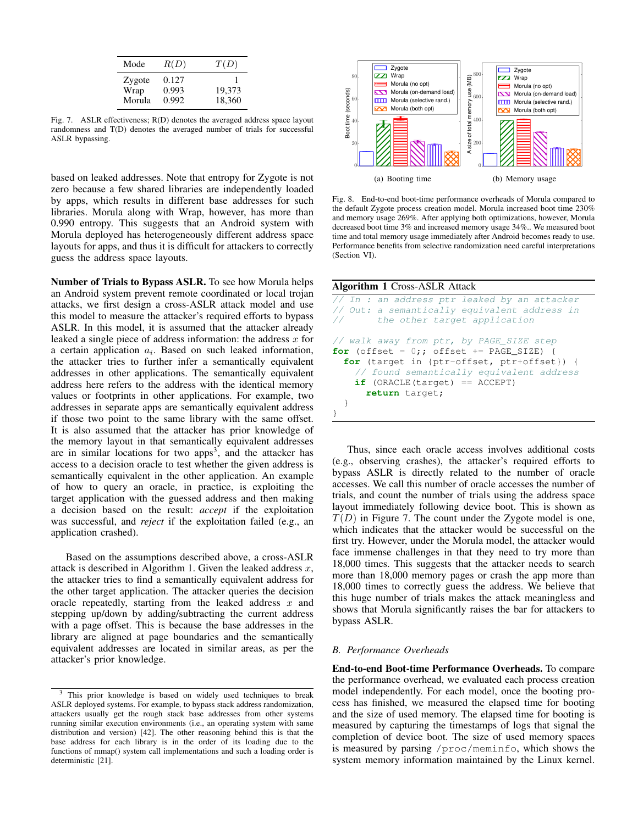| Mode   | R(D)  | T(D)   |
|--------|-------|--------|
| Zygote | 0.127 |        |
| Wrap   | 0.993 | 19,373 |
| Morula | 0.992 | 18,360 |

<span id="page-10-0"></span>Fig. 7. ASLR effectiveness; R(D) denotes the averaged address space layout randomness and T(D) denotes the averaged number of trials for successful ASLR bypassing.

based on leaked addresses. Note that entropy for Zygote is not zero because a few shared libraries are independently loaded by apps, which results in different base addresses for such libraries. Morula along with Wrap, however, has more than 0.990 entropy. This suggests that an Android system with Morula deployed has heterogeneously different address space layouts for apps, and thus it is difficult for attackers to correctly guess the address space layouts.

Number of Trials to Bypass ASLR. To see how Morula helps an Android system prevent remote coordinated or local trojan attacks, we first design a cross-ASLR attack model and use this model to measure the attacker's required efforts to bypass ASLR. In this model, it is assumed that the attacker already leaked a single piece of address information: the address  $x$  for a certain application  $a_i$ . Based on such leaked information, the attacker tries to further infer a semantically equivalent addresses in other applications. The semantically equivalent address here refers to the address with the identical memory values or footprints in other applications. For example, two addresses in separate apps are semantically equivalent address if those two point to the same library with the same offset. It is also assumed that the attacker has prior knowledge of the memory layout in that semantically equivalent addresses are in similar locations for two apps<sup>[3](#page-10-1)</sup>, and the attacker has access to a decision oracle to test whether the given address is semantically equivalent in the other application. An example of how to query an oracle, in practice, is exploiting the target application with the guessed address and then making a decision based on the result: *accept* if the exploitation was successful, and *reject* if the exploitation failed (e.g., an application crashed).

Based on the assumptions described above, a cross-ASLR attack is described in Algorithm [1.](#page-10-2) Given the leaked address  $x$ , the attacker tries to find a semantically equivalent address for the other target application. The attacker queries the decision oracle repeatedly, starting from the leaked address  $x$  and stepping up/down by adding/subtracting the current address with a page offset. This is because the base addresses in the library are aligned at page boundaries and the semantically equivalent addresses are located in similar areas, as per the attacker's prior knowledge.



<span id="page-10-3"></span>Fig. 8. End-to-end boot-time performance overheads of Morula compared to the default Zygote process creation model. Morula increased boot time 230% and memory usage 269%. After applying both optimizations, however, Morula decreased boot time 3% and increased memory usage 34%.. We measured boot time and total memory usage immediately after Android becomes ready to use. Performance benefits from selective randomization need careful interpretations (Section [VI\)](#page-13-0).

## <span id="page-10-2"></span>Algorithm 1 Cross-ASLR Attack

```
In : an address ptr leaked by an attacker
// Out: a semantically equivalent address in
// the other target application
// walk away from ptr, by PAGE_SIZE step
for (offset = 0;; offset += PAGE_SIZE) {
 for (target in {ptr-offset, ptr+offset}) {
    // found semantically equivalent address
   if (ORACLE(target) == ACCEPT)
      return target;
  }
}
```
Thus, since each oracle access involves additional costs (e.g., observing crashes), the attacker's required efforts to bypass ASLR is directly related to the number of oracle accesses. We call this number of oracle accesses the number of trials, and count the number of trials using the address space layout immediately following device boot. This is shown as  $T(D)$  in Figure [7.](#page-10-0) The count under the Zygote model is one, which indicates that the attacker would be successful on the first try. However, under the Morula model, the attacker would face immense challenges in that they need to try more than 18,000 times. This suggests that the attacker needs to search more than 18,000 memory pages or crash the app more than 18,000 times to correctly guess the address. We believe that this huge number of trials makes the attack meaningless and shows that Morula significantly raises the bar for attackers to bypass ASLR.

#### *B. Performance Overheads*

End-to-end Boot-time Performance Overheads. To compare the performance overhead, we evaluated each process creation model independently. For each model, once the booting process has finished, we measured the elapsed time for booting and the size of used memory. The elapsed time for booting is measured by capturing the timestamps of logs that signal the completion of device boot. The size of used memory spaces is measured by parsing /proc/meminfo, which shows the system memory information maintained by the Linux kernel.

<span id="page-10-1"></span><sup>&</sup>lt;sup>3</sup> This prior knowledge is based on widely used techniques to break ASLR deployed systems. For example, to bypass stack address randomization, attackers usually get the rough stack base addresses from other systems running similar execution environments (i.e., an operating system with same distribution and version) [\[42\]](#page-15-7). The other reasoning behind this is that the base address for each library is in the order of its loading due to the functions of mmap() system call implementations and such a loading order is deterministic [\[21\]](#page-14-11).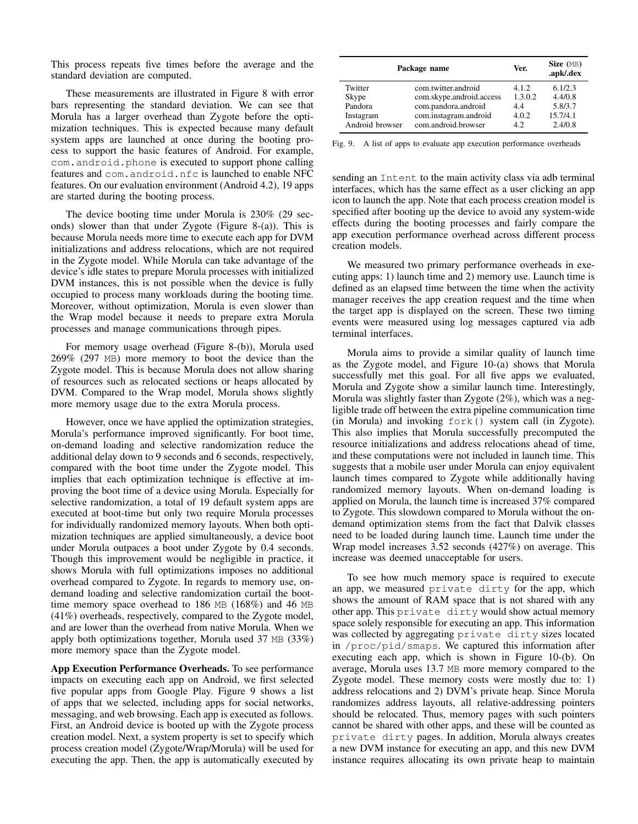This process repeats five times before the average and the standard deviation are computed.

These measurements are illustrated in Figure [8](#page-10-3) with error bars representing the standard deviation. We can see that Morula has a larger overhead than Zygote before the optimization techniques. This is expected because many default system apps are launched at once during the booting process to support the basic features of Android. For example, com.android.phone is executed to support phone calling features and com.android.nfc is launched to enable NFC features. On our evaluation environment (Android 4.2), 19 apps are started during the booting process.

The device booting time under Morula is 230% (29 seconds) slower than that under Zygote (Figure [8-](#page-10-3)(a)). This is because Morula needs more time to execute each app for DVM initializations and address relocations, which are not required in the Zygote model. While Morula can take advantage of the device's idle states to prepare Morula processes with initialized DVM instances, this is not possible when the device is fully occupied to process many workloads during the booting time. Moreover, without optimization, Morula is even slower than the Wrap model because it needs to prepare extra Morula processes and manage communications through pipes.

For memory usage overhead (Figure [8-](#page-10-3)(b)), Morula used 269% (297 MB) more memory to boot the device than the Zygote model. This is because Morula does not allow sharing of resources such as relocated sections or heaps allocated by DVM. Compared to the Wrap model, Morula shows slightly more memory usage due to the extra Morula process.

However, once we have applied the optimization strategies, Morula's performance improved significantly. For boot time, on-demand loading and selective randomization reduce the additional delay down to 9 seconds and 6 seconds, respectively, compared with the boot time under the Zygote model. This implies that each optimization technique is effective at improving the boot time of a device using Morula. Especially for selective randomization, a total of 19 default system apps are executed at boot-time but only two require Morula processes for individually randomized memory layouts. When both optimization techniques are applied simultaneously, a device boot under Morula outpaces a boot under Zygote by 0.4 seconds. Though this improvement would be negligible in practice, it shows Morula with full optimizations imposes no additional overhead compared to Zygote. In regards to memory use, ondemand loading and selective randomization curtail the boottime memory space overhead to 186 MB (168%) and 46 MB (41%) overheads, respectively, compared to the Zygote model, and are lower than the overhead from native Morula. When we apply both optimizations together, Morula used 37 MB (33%) more memory space than the Zygote model.

App Execution Performance Overheads. To see performance impacts on executing each app on Android, we first selected five popular apps from Google Play. Figure [9](#page-11-0) shows a list of apps that we selected, including apps for social networks, messaging, and web browsing. Each app is executed as follows. First, an Android device is booted up with the Zygote process creation model. Next, a system property is set to specify which process creation model (Zygote/Wrap/Morula) will be used for executing the app. Then, the app is automatically executed by

| Package name    |                          | Ver.    | Size $(MB)$<br>.apk/.dex |
|-----------------|--------------------------|---------|--------------------------|
| Twitter         | com.twitter.android      | 4.1.2   | 6.1/2.3                  |
| Skype           | com.skype.android.access | 1.3.0.2 | 4.4/0.8                  |
| Pandora         | com.pandora.android      | 4.4     | 5.8/3.7                  |
| Instagram       | com.instagram.android    | 4.0.2   | 15.7/4.1                 |
| Android browser | com.android.browser      | 42      | 2.4/0.8                  |

<span id="page-11-0"></span>Fig. 9. A list of apps to evaluate app execution performance overheads

sending an Intent to the main activity class via adb terminal interfaces, which has the same effect as a user clicking an app icon to launch the app. Note that each process creation model is specified after booting up the device to avoid any system-wide effects during the booting processes and fairly compare the app execution performance overhead across different process creation models.

We measured two primary performance overheads in executing apps: 1) launch time and 2) memory use. Launch time is defined as an elapsed time between the time when the activity manager receives the app creation request and the time when the target app is displayed on the screen. These two timing events were measured using log messages captured via adb terminal interfaces.

Morula aims to provide a similar quality of launch time as the Zygote model, and Figure [10-](#page-12-0)(a) shows that Morula successfully met this goal. For all five apps we evaluated, Morula and Zygote show a similar launch time. Interestingly, Morula was slightly faster than Zygote (2%), which was a negligible trade off between the extra pipeline communication time (in Morula) and invoking fork() system call (in Zygote). This also implies that Morula successfully precomputed the resource initializations and address relocations ahead of time, and these computations were not included in launch time. This suggests that a mobile user under Morula can enjoy equivalent launch times compared to Zygote while additionally having randomized memory layouts. When on-demand loading is applied on Morula, the launch time is increased 37% compared to Zygote. This slowdown compared to Morula without the ondemand optimization stems from the fact that Dalvik classes need to be loaded during launch time. Launch time under the Wrap model increases 3.52 seconds (427%) on average. This increase was deemed unacceptable for users.

To see how much memory space is required to execute an app, we measured private dirty for the app, which shows the amount of RAM space that is not shared with any other app. This private dirty would show actual memory space solely responsible for executing an app. This information was collected by aggregating private dirty sizes located in /proc/pid/smaps. We captured this information after executing each app, which is shown in Figure [10-](#page-12-0)(b). On average, Morula uses 13.7 MB more memory compared to the Zygote model. These memory costs were mostly due to: 1) address relocations and 2) DVM's private heap. Since Morula randomizes address layouts, all relative-addressing pointers should be relocated. Thus, memory pages with such pointers cannot be shared with other apps, and these will be counted as private dirty pages. In addition, Morula always creates a new DVM instance for executing an app, and this new DVM instance requires allocating its own private heap to maintain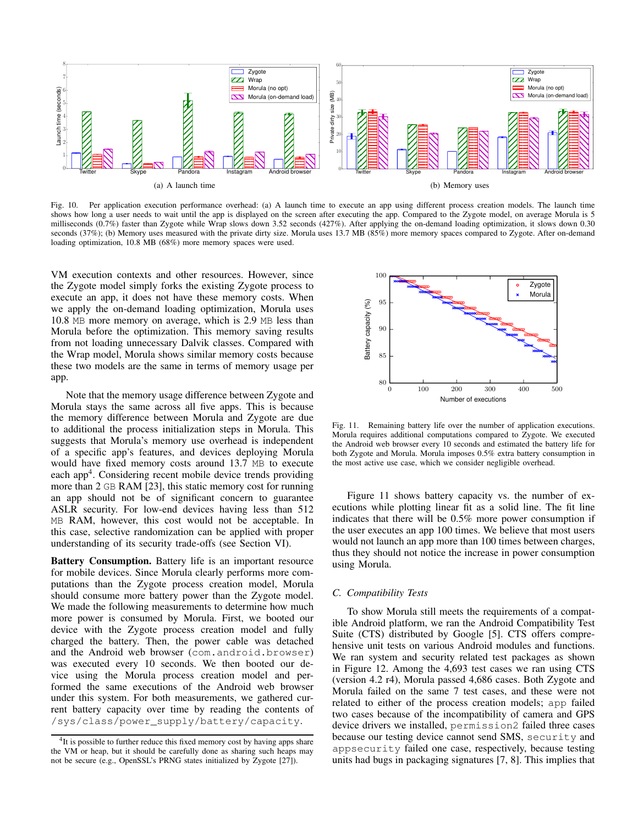

<span id="page-12-0"></span>Fig. 10. Per application execution performance overhead: (a) A launch time to execute an app using different process creation models. The launch time shows how long a user needs to wait until the app is displayed on the screen after executing the app. Compared to the Zygote model, on average Morula is 5 milliseconds (0.7%) faster than Zygote while Wrap slows down 3.52 seconds (427%). After applying the on-demand loading optimization, it slows down 0.30 seconds (37%); (b) Memory uses measured with the private dirty size. Morula uses 13.7 MB (85%) more memory spaces compared to Zygote. After on-demand loading optimization, 10.8 MB (68%) more memory spaces were used.

VM execution contexts and other resources. However, since the Zygote model simply forks the existing Zygote process to execute an app, it does not have these memory costs. When we apply the on-demand loading optimization, Morula uses 10.8 MB more memory on average, which is 2.9 MB less than Morula before the optimization. This memory saving results from not loading unnecessary Dalvik classes. Compared with the Wrap model, Morula shows similar memory costs because these two models are the same in terms of memory usage per app.

Note that the memory usage difference between Zygote and Morula stays the same across all five apps. This is because the memory difference between Morula and Zygote are due to additional the process initialization steps in Morula. This suggests that Morula's memory use overhead is independent of a specific app's features, and devices deploying Morula would have fixed memory costs around 13.7 MB to execute each app<sup>[4](#page-12-1)</sup>. Considering recent mobile device trends providing more than 2 GB RAM [\[23\]](#page-14-12), this static memory cost for running an app should not be of significant concern to guarantee ASLR security. For low-end devices having less than 512 MB RAM, however, this cost would not be acceptable. In this case, selective randomization can be applied with proper understanding of its security trade-offs (see Section [VI\)](#page-13-0).

Battery Consumption. Battery life is an important resource for mobile devices. Since Morula clearly performs more computations than the Zygote process creation model, Morula should consume more battery power than the Zygote model. We made the following measurements to determine how much more power is consumed by Morula. First, we booted our device with the Zygote process creation model and fully charged the battery. Then, the power cable was detached and the Android web browser (com.android.browser) was executed every 10 seconds. We then booted our device using the Morula process creation model and performed the same executions of the Android web browser under this system. For both measurements, we gathered current battery capacity over time by reading the contents of /sys/class/power\_supply/battery/capacity.



<span id="page-12-2"></span>Fig. 11. Remaining battery life over the number of application executions. Morula requires additional computations compared to Zygote. We executed the Android web browser every 10 seconds and estimated the battery life for both Zygote and Morula. Morula imposes 0.5% extra battery consumption in the most active use case, which we consider negligible overhead.

Figure [11](#page-12-2) shows battery capacity vs. the number of executions while plotting linear fit as a solid line. The fit line indicates that there will be 0.5% more power consumption if the user executes an app 100 times. We believe that most users would not launch an app more than 100 times between charges, thus they should not notice the increase in power consumption using Morula.

### *C. Compatibility Tests*

To show Morula still meets the requirements of a compatible Android platform, we ran the Android Compatibility Test Suite (CTS) distributed by Google [\[5\]](#page-14-13). CTS offers comprehensive unit tests on various Android modules and functions. We ran system and security related test packages as shown in Figure [12.](#page-13-2) Among the 4,693 test cases we ran using CTS (version 4.2 r4), Morula passed 4,686 cases. Both Zygote and Morula failed on the same 7 test cases, and these were not related to either of the process creation models; app failed two cases because of the incompatibility of camera and GPS device drivers we installed, permission2 failed three cases because our testing device cannot send SMS, security and appsecurity failed one case, respectively, because testing units had bugs in packaging signatures [\[7,](#page-14-14) [8\]](#page-14-15). This implies that

<span id="page-12-1"></span><sup>&</sup>lt;sup>4</sup>It is possible to further reduce this fixed memory cost by having apps share the VM or heap, but it should be carefully done as sharing such heaps may not be secure (e.g., OpenSSL's PRNG states initialized by Zygote [\[27\]](#page-15-8)).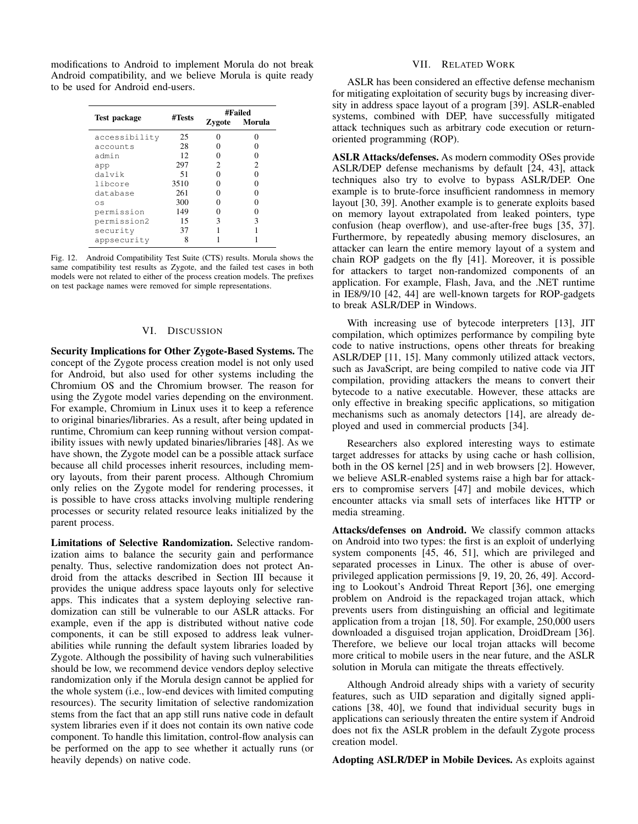modifications to Android to implement Morula do not break Android compatibility, and we believe Morula is quite ready to be used for Android end-users.

|               | #Tests | #Failed |        |
|---------------|--------|---------|--------|
| Test package  |        | Zygote  | Morula |
| accessibility | 25     |         |        |
| accounts      | 28     |         |        |
| admin         | 12     |         |        |
| app           | 297    | 2       | 2      |
| dalvik        | 51     |         |        |
| libcore       | 3510   |         |        |
| database      | 261    |         |        |
| OS            | 300    |         |        |
| permission    | 149    |         |        |
| permission2   | 15     | 3       | 3      |
| security      | 37     |         |        |
| appsecurity   |        |         |        |

<span id="page-13-2"></span>Fig. 12. Android Compatibility Test Suite (CTS) results. Morula shows the same compatibility test results as Zygote, and the failed test cases in both models were not related to either of the process creation models. The prefixes on test package names were removed for simple representations.

# VI. DISCUSSION

<span id="page-13-0"></span>Security Implications for Other Zygote-Based Systems. The concept of the Zygote process creation model is not only used for Android, but also used for other systems including the Chromium OS and the Chromium browser. The reason for using the Zygote model varies depending on the environment. For example, Chromium in Linux uses it to keep a reference to original binaries/libraries. As a result, after being updated in runtime, Chromium can keep running without version compatibility issues with newly updated binaries/libraries [\[48\]](#page-15-9). As we have shown, the Zygote model can be a possible attack surface because all child processes inherit resources, including memory layouts, from their parent process. Although Chromium only relies on the Zygote model for rendering processes, it is possible to have cross attacks involving multiple rendering processes or security related resource leaks initialized by the parent process.

Limitations of Selective Randomization. Selective randomization aims to balance the security gain and performance penalty. Thus, selective randomization does not protect Android from the attacks described in Section [III](#page-3-0) because it provides the unique address space layouts only for selective apps. This indicates that a system deploying selective randomization can still be vulnerable to our ASLR attacks. For example, even if the app is distributed without native code components, it can be still exposed to address leak vulnerabilities while running the default system libraries loaded by Zygote. Although the possibility of having such vulnerabilities should be low, we recommend device vendors deploy selective randomization only if the Morula design cannot be applied for the whole system (i.e., low-end devices with limited computing resources). The security limitation of selective randomization stems from the fact that an app still runs native code in default system libraries even if it does not contain its own native code component. To handle this limitation, control-flow analysis can be performed on the app to see whether it actually runs (or heavily depends) on native code.

# VII. RELATED WORK

<span id="page-13-1"></span>ASLR has been considered an effective defense mechanism for mitigating exploitation of security bugs by increasing diversity in address space layout of a program [\[39\]](#page-15-4). ASLR-enabled systems, combined with DEP, have successfully mitigated attack techniques such as arbitrary code execution or returnoriented programming (ROP).

ASLR Attacks/defenses. As modern commodity OSes provide ASLR/DEP defense mechanisms by default [\[24,](#page-14-16) [43\]](#page-15-10), attack techniques also try to evolve to bypass ASLR/DEP. One example is to brute-force insufficient randomness in memory layout [\[30,](#page-15-11) [39\]](#page-15-4). Another example is to generate exploits based on memory layout extrapolated from leaked pointers, type confusion (heap overflow), and use-after-free bugs [\[35,](#page-15-12) [37\]](#page-15-13). Furthermore, by repeatedly abusing memory disclosures, an attacker can learn the entire memory layout of a system and chain ROP gadgets on the fly [\[41\]](#page-15-14). Moreover, it is possible for attackers to target non-randomized components of an application. For example, Flash, Java, and the .NET runtime in IE8/9/10 [\[42,](#page-15-7) [44\]](#page-15-5) are well-known targets for ROP-gadgets to break ASLR/DEP in Windows.

With increasing use of bytecode interpreters [\[13\]](#page-14-17), JIT compilation, which optimizes performance by compiling byte code to native instructions, opens other threats for breaking ASLR/DEP [\[11,](#page-14-18) [15\]](#page-14-19). Many commonly utilized attack vectors, such as JavaScript, are being compiled to native code via JIT compilation, providing attackers the means to convert their bytecode to a native executable. However, these attacks are only effective in breaking specific applications, so mitigation mechanisms such as anomaly detectors [\[14\]](#page-14-20), are already deployed and used in commercial products [\[34\]](#page-15-15).

Researchers also explored interesting ways to estimate target addresses for attacks by using cache or hash collision, both in the OS kernel [\[25\]](#page-14-5) and in web browsers [\[2\]](#page-14-21). However, we believe ASLR-enabled systems raise a high bar for attackers to compromise servers [\[47\]](#page-15-16) and mobile devices, which encounter attacks via small sets of interfaces like HTTP or media streaming.

Attacks/defenses on Android. We classify common attacks on Android into two types: the first is an exploit of underlying system components [\[45,](#page-15-17) [46,](#page-15-18) [51\]](#page-15-19), which are privileged and separated processes in Linux. The other is abuse of overprivileged application permissions [\[9,](#page-14-22) [19,](#page-14-23) [20,](#page-14-8) [26,](#page-15-20) [49\]](#page-15-21). According to Lookout's Android Threat Report [\[36\]](#page-15-6), one emerging problem on Android is the repackaged trojan attack, which prevents users from distinguishing an official and legitimate application from a trojan [\[18,](#page-14-24) [50\]](#page-15-22). For example, 250,000 users downloaded a disguised trojan application, DroidDream [\[36\]](#page-15-6). Therefore, we believe our local trojan attacks will become more critical to mobile users in the near future, and the ASLR solution in Morula can mitigate the threats effectively.

Although Android already ships with a variety of security features, such as UID separation and digitally signed applications [\[38,](#page-15-23) [40\]](#page-15-24), we found that individual security bugs in applications can seriously threaten the entire system if Android does not fix the ASLR problem in the default Zygote process creation model.

Adopting ASLR/DEP in Mobile Devices. As exploits against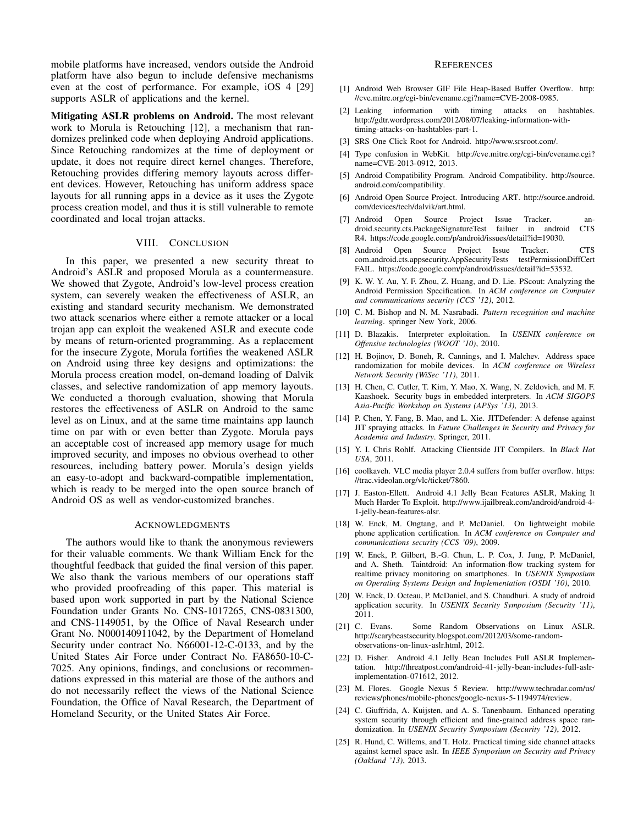mobile platforms have increased, vendors outside the Android platform have also begun to include defensive mechanisms even at the cost of performance. For example, iOS 4 [\[29\]](#page-15-25) supports ASLR of applications and the kernel.

Mitigating ASLR problems on Android. The most relevant work to Morula is Retouching [\[12\]](#page-14-25), a mechanism that randomizes prelinked code when deploying Android applications. Since Retouching randomizes at the time of deployment or update, it does not require direct kernel changes. Therefore, Retouching provides differing memory layouts across different devices. However, Retouching has uniform address space layouts for all running apps in a device as it uses the Zygote process creation model, and thus it is still vulnerable to remote coordinated and local trojan attacks.

#### VIII. CONCLUSION

<span id="page-14-1"></span>In this paper, we presented a new security threat to Android's ASLR and proposed Morula as a countermeasure. We showed that Zygote, Android's low-level process creation system, can severely weaken the effectiveness of ASLR, an existing and standard security mechanism. We demonstrated two attack scenarios where either a remote attacker or a local trojan app can exploit the weakened ASLR and execute code by means of return-oriented programming. As a replacement for the insecure Zygote, Morula fortifies the weakened ASLR on Android using three key designs and optimizations: the Morula process creation model, on-demand loading of Dalvik classes, and selective randomization of app memory layouts. We conducted a thorough evaluation, showing that Morula restores the effectiveness of ASLR on Android to the same level as on Linux, and at the same time maintains app launch time on par with or even better than Zygote. Morula pays an acceptable cost of increased app memory usage for much improved security, and imposes no obvious overhead to other resources, including battery power. Morula's design yields an easy-to-adopt and backward-compatible implementation, which is ready to be merged into the open source branch of Android OS as well as vendor-customized branches.

# ACKNOWLEDGMENTS

The authors would like to thank the anonymous reviewers for their valuable comments. We thank William Enck for the thoughtful feedback that guided the final version of this paper. We also thank the various members of our operations staff who provided proofreading of this paper. This material is based upon work supported in part by the National Science Foundation under Grants No. CNS-1017265, CNS-0831300, and CNS-1149051, by the Office of Naval Research under Grant No. N000140911042, by the Department of Homeland Security under contract No. N66001-12-C-0133, and by the United States Air Force under Contract No. FA8650-10-C-7025. Any opinions, findings, and conclusions or recommendations expressed in this material are those of the authors and do not necessarily reflect the views of the National Science Foundation, the Office of Naval Research, the Department of Homeland Security, or the United States Air Force.

#### **REFERENCES**

- <span id="page-14-2"></span>[1] Android Web Browser GIF File Heap-Based Buffer Overflow. [http:](http://cve.mitre.org/cgi-bin/cvename.cgi?name=CVE-2008-0985) [//cve.mitre.org/cgi-bin/cvename.cgi?name=CVE-2008-0985.](http://cve.mitre.org/cgi-bin/cvename.cgi?name=CVE-2008-0985)
- <span id="page-14-21"></span>[2] Leaking information with timing attacks on hashtables. [http://gdtr.wordpress.com/2012/08/07/leaking-information-with](http://gdtr.wordpress.com/2012/08/07/leaking-information-with-timing-attacks-on-hashtables-part-1)[timing-attacks-on-hashtables-part-1.](http://gdtr.wordpress.com/2012/08/07/leaking-information-with-timing-attacks-on-hashtables-part-1)
- <span id="page-14-3"></span>[3] SRS One Click Root for Android. [http://www.srsroot.com/.](http://www.srsroot.com/)
- <span id="page-14-6"></span>[4] Type confusion in WebKit. [http://cve.mitre.org/cgi-bin/cvename.cgi?](http://cve.mitre.org/cgi-bin/cvename.cgi?name=CVE-2013-0912) [name=CVE-2013-0912,](http://cve.mitre.org/cgi-bin/cvename.cgi?name=CVE-2013-0912) 2013.
- <span id="page-14-13"></span>[5] Android Compatibility Program. Android Compatibility. [http://source.](http://source.android.com/compatibility) [android.com/compatibility.](http://source.android.com/compatibility)
- <span id="page-14-9"></span>[6] Android Open Source Project. Introducing ART. [http://source.android.](http://source.android.com/devices/tech/dalvik/art.html) [com/devices/tech/dalvik/art.html.](http://source.android.com/devices/tech/dalvik/art.html)
- <span id="page-14-14"></span>[7] Android Open Source Project Issue Tracker. android.security.cts.PackageSignatureTest failuer in android R4. [https://code.google.com/p/android/issues/detail?id=19030.](https://code.google.com/p/android/issues/detail?id=19030)
- <span id="page-14-15"></span>[8] Android Open Source Project Issue Tracker. CTS com.android.cts.appsecurity.AppSecurityTests testPermissionDiffCert FAIL. [https://code.google.com/p/android/issues/detail?id=53532.](https://code.google.com/p/android/issues/detail?id=53532)
- <span id="page-14-22"></span>[9] K. W. Y. Au, Y. F. Zhou, Z. Huang, and D. Lie. PScout: Analyzing the Android Permission Specification. In *ACM conference on Computer and communications security (CCS '12)*, 2012.
- <span id="page-14-10"></span>[10] C. M. Bishop and N. M. Nasrabadi. *Pattern recognition and machine learning*. springer New York, 2006.
- <span id="page-14-18"></span>[11] D. Blazakis. Interpreter exploitation. In *USENIX conference on Offensive technologies (WOOT '10)*, 2010.
- <span id="page-14-25"></span>[12] H. Bojinov, D. Boneh, R. Cannings, and I. Malchev. Address space randomization for mobile devices. In *ACM conference on Wireless Network Security (WiSec '11)*, 2011.
- <span id="page-14-17"></span>[13] H. Chen, C. Cutler, T. Kim, Y. Mao, X. Wang, N. Zeldovich, and M. F. Kaashoek. Security bugs in embedded interpreters. In *ACM SIGOPS Asia-Pacific Workshop on Systems (APSys '13)*, 2013.
- <span id="page-14-20"></span>[14] P. Chen, Y. Fang, B. Mao, and L. Xie. JITDefender: A defense against JIT spraying attacks. In *Future Challenges in Security and Privacy for Academia and Industry*. Springer, 2011.
- <span id="page-14-19"></span>[15] Y. I. Chris Rohlf. Attacking Clientside JIT Compilers. In *Black Hat USA*, 2011.
- <span id="page-14-7"></span>[16] coolkaveh. VLC media player 2.0.4 suffers from buffer overflow. [https:](https://trac.videolan.org/vlc/ticket/7860) [//trac.videolan.org/vlc/ticket/7860.](https://trac.videolan.org/vlc/ticket/7860)
- <span id="page-14-4"></span>[17] J. Easton-Ellett. Android 4.1 Jelly Bean Features ASLR, Making It Much Harder To Exploit. http://www.ijailbreak.com/android/android-4- 1-jelly-bean-features-alsr.
- <span id="page-14-24"></span>[18] W. Enck, M. Ongtang, and P. McDaniel. On lightweight mobile phone application certification. In *ACM conference on Computer and communications security (CCS '09)*, 2009.
- <span id="page-14-23"></span>[19] W. Enck, P. Gilbert, B.-G. Chun, L. P. Cox, J. Jung, P. McDaniel, and A. Sheth. Taintdroid: An information-flow tracking system for realtime privacy monitoring on smartphones. In *USENIX Symposium on Operating Systems Design and Implementation (OSDI '10)*, 2010.
- <span id="page-14-8"></span>[20] W. Enck, D. Octeau, P. McDaniel, and S. Chaudhuri. A study of android application security. In *USENIX Security Symposium (Security '11)*, 2011.
- <span id="page-14-11"></span>[21] C. Evans. Some Random Observations on Linux ASLR. [http://scarybeastsecurity.blogspot.com/2012/03/some-random](http://scarybeastsecurity.blogspot.com/2012/03/some-random-observations-on-linux-aslr.html)[observations-on-linux-aslr.html,](http://scarybeastsecurity.blogspot.com/2012/03/some-random-observations-on-linux-aslr.html) 2012.
- <span id="page-14-0"></span>[22] D. Fisher. Android 4.1 Jelly Bean Includes Full ASLR Implementation. [http://threatpost.com/android-41-jelly-bean-includes-full-aslr](http://threatpost.com/android-41-jelly-bean-includes-full-aslr-implementation-071612)[implementation-071612,](http://threatpost.com/android-41-jelly-bean-includes-full-aslr-implementation-071612) 2012.
- <span id="page-14-12"></span>[23] M. Flores. Google Nexus 5 Review. [http://www.techradar.com/us/](http://www.techradar.com/us/reviews/phones/mobile-phones/google-nexus-5-1194974/review) [reviews/phones/mobile-phones/google-nexus-5-1194974/review.](http://www.techradar.com/us/reviews/phones/mobile-phones/google-nexus-5-1194974/review)
- <span id="page-14-16"></span>[24] C. Giuffrida, A. Kuijsten, and A. S. Tanenbaum. Enhanced operating system security through efficient and fine-grained address space randomization. In *USENIX Security Symposium (Security '12)*, 2012.
- <span id="page-14-5"></span>[25] R. Hund, C. Willems, and T. Holz. Practical timing side channel attacks against kernel space aslr. In *IEEE Symposium on Security and Privacy (Oakland '13)*, 2013.